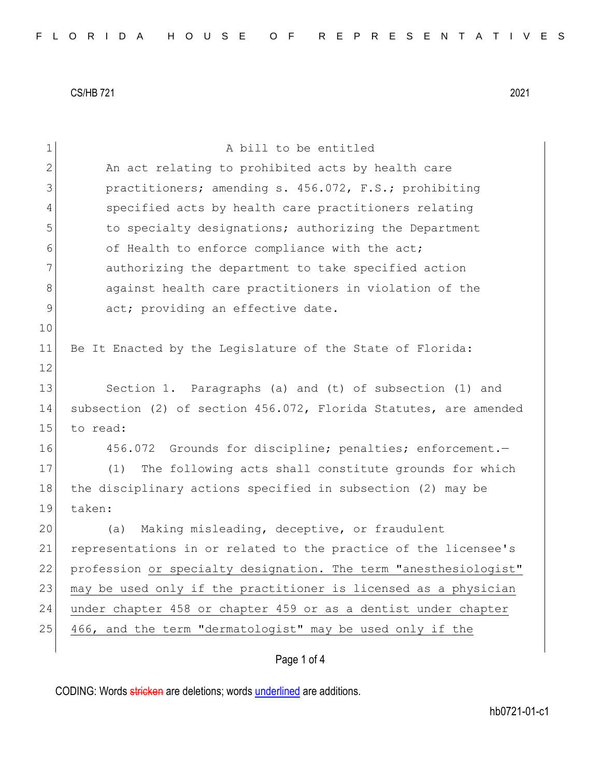| $\mathbf 1$   | A bill to be entitled                                            |
|---------------|------------------------------------------------------------------|
| 2             | An act relating to prohibited acts by health care                |
| 3             | practitioners; amending s. 456.072, F.S.; prohibiting            |
| 4             | specified acts by health care practitioners relating             |
| 5             | to specialty designations; authorizing the Department            |
| 6             | of Health to enforce compliance with the act;                    |
| 7             | authorizing the department to take specified action              |
| 8             | against health care practitioners in violation of the            |
| $\mathcal{G}$ | act; providing an effective date.                                |
| 10            |                                                                  |
| 11            | Be It Enacted by the Legislature of the State of Florida:        |
| 12            |                                                                  |
| 13            | Section 1. Paragraphs (a) and (t) of subsection (1) and          |
| 14            | subsection (2) of section 456.072, Florida Statutes, are amended |
| 15            | to read:                                                         |
| 16            | 456.072 Grounds for discipline; penalties; enforcement.-         |
| 17            | The following acts shall constitute grounds for which<br>(1)     |
| 18            | the disciplinary actions specified in subsection (2) may be      |
| 19            | taken:                                                           |
| 20            | Making misleading, deceptive, or fraudulent<br>(a)               |
| 21            | representations in or related to the practice of the licensee's  |
| 22            | profession or specialty designation. The term "anesthesiologist" |
| 23            | may be used only if the practitioner is licensed as a physician  |
| 24            | under chapter 458 or chapter 459 or as a dentist under chapter   |
| 25            | 466, and the term "dermatologist" may be used only if the        |
|               |                                                                  |

# Page 1 of 4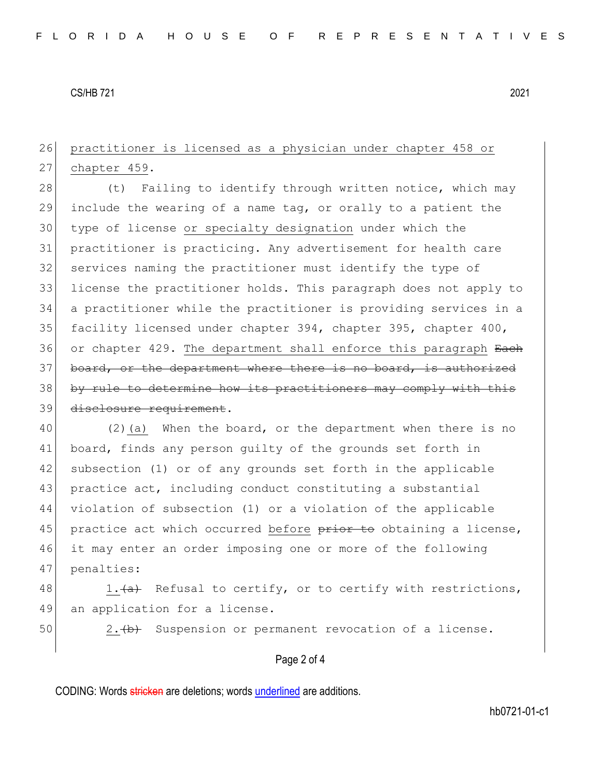## 26 practitioner is licensed as a physician under chapter 458 or 27 chapter 459.

28 (t) Failing to identify through written notice, which may 29 include the wearing of a name tag, or orally to a patient the 30 type of license or specialty designation under which the 31 practitioner is practicing. Any advertisement for health care 32 services naming the practitioner must identify the type of 33 license the practitioner holds. This paragraph does not apply to 34 a practitioner while the practitioner is providing services in a 35 facility licensed under chapter 394, chapter 395, chapter 400, 36 or chapter 429. The department shall enforce this paragraph Each 37 board, or the department where there is no board, is authorized 38 by rule to determine how its practitioners may comply with this 39 disclosure requirement.

40 (2)(a) When the board, or the department when there is no 41 board, finds any person guilty of the grounds set forth in 42 subsection (1) or of any grounds set forth in the applicable 43 practice act, including conduct constituting a substantial 44 violation of subsection (1) or a violation of the applicable 45 practice act which occurred before prior to obtaining a license, 46 it may enter an order imposing one or more of the following 47 penalties:

48 1. $\frac{1}{a}$  Refusal to certify, or to certify with restrictions, 49 an application for a license.

50 2. (b) Suspension or permanent revocation of a license.

#### Page 2 of 4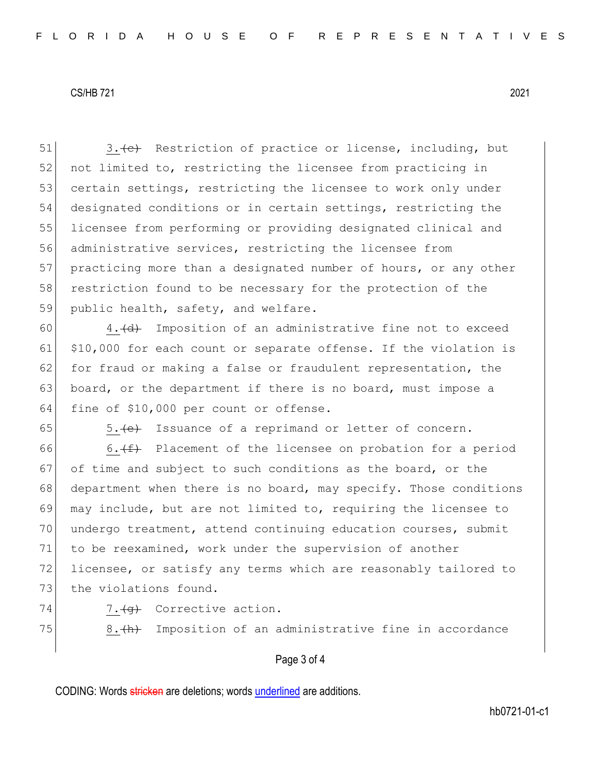51 3. (c) Restriction of practice or license, including, but 52 not limited to, restricting the licensee from practicing in 53 certain settings, restricting the licensee to work only under 54 designated conditions or in certain settings, restricting the 55 licensee from performing or providing designated clinical and 56 administrative services, restricting the licensee from 57 practicing more than a designated number of hours, or any other 58 restriction found to be necessary for the protection of the 59 public health, safety, and welfare.

60  $\vert$  4. (d) Imposition of an administrative fine not to exceed 61 \$10,000 for each count or separate offense. If the violation is 62 for fraud or making a false or fraudulent representation, the 63 board, or the department if there is no board, must impose a 64 fine of \$10,000 per count or offense.

 $65$   $5.$   $\left\lbrace \text{e} \right\rbrace$  Issuance of a reprimand or letter of concern.

66 6. $(f)$  Placement of the licensee on probation for a period 67 of time and subject to such conditions as the board, or the 68 department when there is no board, may specify. Those conditions 69 may include, but are not limited to, requiring the licensee to 70 undergo treatment, attend continuing education courses, submit 71 to be reexamined, work under the supervision of another 72 licensee, or satisfy any terms which are reasonably tailored to 73 the violations found.

74  $7.49$  Corrective action.

75 8. $\overline{(h)}$  Imposition of an administrative fine in accordance

#### Page 3 of 4